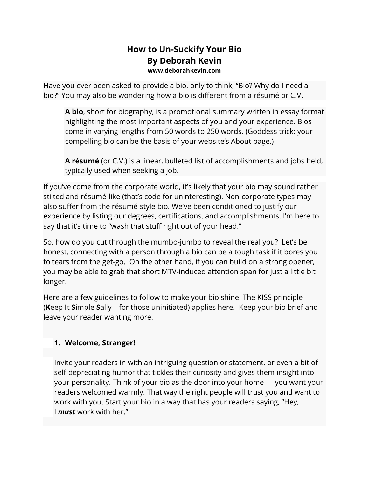### **How to Un-Suckify Your Bio By Deborah Kevin www.deborahkevin.com**

Have you ever been asked to provide a bio, only to think, "Bio? Why do I need a bio?" You may also be wondering how a bio is different from a résumé or C.V.

**A bio**, short for biography, is a promotional summary written in essay format highlighting the most important aspects of you and your experience. Bios come in varying lengths from 50 words to 250 words. (Goddess trick: your compelling bio can be the basis of your website's About page.)

**A résumé** (or C.V.) is a linear, bulleted list of accomplishments and jobs held, typically used when seeking a job.

If you've come from the corporate world, it's likely that your bio may sound rather stilted and résumé-like (that's code for uninteresting). Non-corporate types may also suffer from the résumé-style bio. We've been conditioned to justify our experience by listing our degrees, certifications, and accomplishments. I'm here to say that it's time to "wash that stuff right out of your head."

So, how do you cut through the mumbo-jumbo to reveal the real you? Let's be honest, connecting with a person through a bio can be a tough task if it bores you to tears from the get-go. On the other hand, if you can build on a strong opener, you may be able to grab that short MTV-induced attention span for just a little bit longer.

Here are a few guidelines to follow to make your bio shine. The KISS principle (**K**eep **I**t **S**imple **S**ally – for those uninitiated) applies here. Keep your bio brief and leave your reader wanting more.

### **1. Welcome, Stranger!**

Invite your readers in with an intriguing question or statement, or even a bit of self-depreciating humor that tickles their curiosity and gives them insight into your personality. Think of your bio as the door into your home — you want your readers welcomed warmly. That way the right people will trust you and want to work with you. Start your bio in a way that has your readers saying, "Hey, I *must* work with her."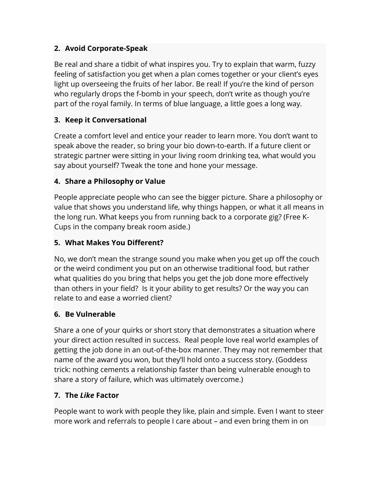## **2. Avoid Corporate-Speak**

Be real and share a tidbit of what inspires you. Try to explain that warm, fuzzy feeling of satisfaction you get when a plan comes together or your client's eyes light up overseeing the fruits of her labor. Be real! If you're the kind of person who regularly drops the f-bomb in your speech, don't write as though you're part of the royal family. In terms of blue language, a little goes a long way.

## **3. Keep it Conversational**

Create a comfort level and entice your reader to learn more. You don't want to speak above the reader, so bring your bio down-to-earth. If a future client or strategic partner were sitting in your living room drinking tea, what would you say about yourself? Tweak the tone and hone your message.

## **4. Share a Philosophy or Value**

People appreciate people who can see the bigger picture. Share a philosophy or value that shows you understand life, why things happen, or what it all means in the long run. What keeps you from running back to a corporate gig? (Free K-Cups in the company break room aside.)

## **5. What Makes You Different?**

No, we don't mean the strange sound you make when you get up off the couch or the weird condiment you put on an otherwise traditional food, but rather what qualities do you bring that helps you get the job done more effectively than others in your field? Is it your ability to get results? Or the way you can relate to and ease a worried client?

# **6. Be Vulnerable**

Share a one of your quirks or short story that demonstrates a situation where your direct action resulted in success. Real people love real world examples of getting the job done in an out-of-the-box manner. They may not remember that name of the award you won, but they'll hold onto a success story. (Goddess trick: nothing cements a relationship faster than being vulnerable enough to share a story of failure, which was ultimately overcome.)

# **7. The** *Like* **Factor**

People want to work with people they like, plain and simple. Even I want to steer more work and referrals to people I care about – and even bring them in on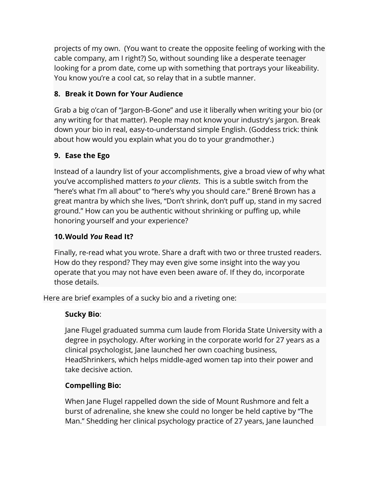projects of my own. (You want to create the opposite feeling of working with the cable company, am I right?) So, without sounding like a desperate teenager looking for a prom date, come up with something that portrays your likeability. You know you're a cool cat, so relay that in a subtle manner.

### **8. Break it Down for Your Audience**

Grab a big o'can of "Jargon-B-Gone" and use it liberally when writing your bio (or any writing for that matter). People may not know your industry's jargon. Break down your bio in real, easy-to-understand simple English. (Goddess trick: think about how would you explain what you do to your grandmother.)

## **9. Ease the Ego**

Instead of a laundry list of your accomplishments, give a broad view of why what you've accomplished matters *to your clients*. This is a subtle switch from the "here's what I'm all about" to "here's why you should care." Brené Brown has a great mantra by which she lives, "Don't shrink, don't puff up, stand in my sacred ground." How can you be authentic without shrinking or puffing up, while honoring yourself and your experience?

### **10.Would** *You* **Read It?**

Finally, re-read what you wrote. Share a draft with two or three trusted readers. How do they respond? They may even give some insight into the way you operate that you may not have even been aware of. If they do, incorporate those details.

Here are brief examples of a sucky bio and a riveting one:

### **Sucky Bio**:

Jane Flugel graduated summa cum laude from Florida State University with a degree in psychology. After working in the corporate world for 27 years as a clinical psychologist, Jane launched her own coaching business, HeadShrinkers, which helps middle-aged women tap into their power and take decisive action.

### **Compelling Bio:**

When Jane Flugel rappelled down the side of Mount Rushmore and felt a burst of adrenaline, she knew she could no longer be held captive by "The Man." Shedding her clinical psychology practice of 27 years, Jane launched